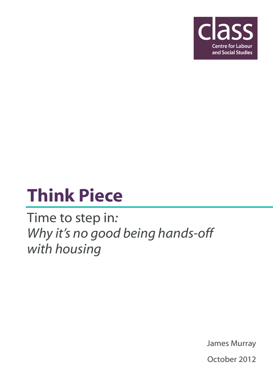

# Think Piece

Time to step in: Why it's no good being hands-off with housing

James Murray

October 2012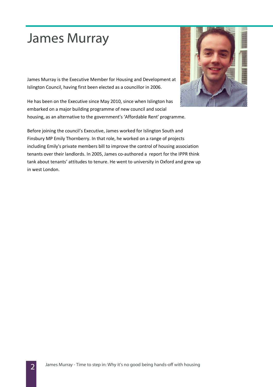### James Murray

James Murray is the Executive Member for Housing and Development at Islington Council, having first been elected as a councillor in 2006.

He has been on the Executive since May 2010, since when Islington has embarked on a major building programme of new council and social housing, as an alternative to the government's 'Affordable Rent' programme.



Before joining the council's Executive, James worked for Islington South and Finsbury MP Emily Thornberry. In that role, he worked on a range of projects including Emily's private members bill to improve the control of housing association tenants over their landlords. In 2005, James co-authored a report for the IPPR think tank about tenants' attitudes to tenure. He went to university in Oxford and grew up in west London.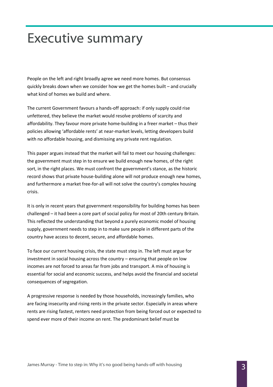#### Executive summary

People on the left and right broadly agree we need more homes. But consensus quickly breaks down when we consider how we get the homes built – and crucially what kind of homes we build and where.

The current Government favours a hands-off approach: if only supply could rise unfettered, they believe the market would resolve problems of scarcity and affordability. They favour more private home-building in a freer market – thus their policies allowing 'affordable rents' at near-market levels, letting developers build with no affordable housing, and dismissing any private rent regulation.

This paper argues instead that the market will fail to meet our housing challenges: the government must step in to ensure we build enough new homes, of the right sort, in the right places. We must confront the government's stance, as the historic record shows that private house-building alone will not produce enough new homes, and furthermore a market free-for-all will not solve the country's complex housing crisis.

It is only in recent years that government responsibility for building homes has been challenged – it had been a core part of social policy for most of 20th century Britain. This reflected the understanding that beyond a purely economic model of housing supply, government needs to step in to make sure people in different parts of the country have access to decent, secure, and affordable homes.

To face our current housing crisis, the state must step in. The left must argue for investment in social housing across the country – ensuring that people on low incomes are not forced to areas far from jobs and transport. A mix of housing is essential for social and economic success, and helps avoid the financial and societal consequences of segregation.

A progressive response is needed by those households, increasingly families, who are facing insecurity and rising rents in the private sector. Especially in areas where rents are rising fastest, renters need protection from being forced out or expected to spend ever more of their income on rent. The predominant belief must be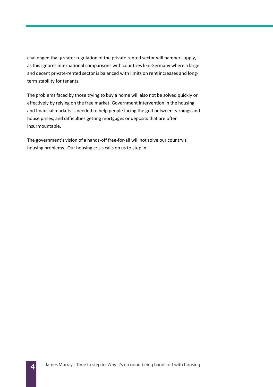challenged that greater regulation of the private rented sector will hamper supply, as this ignores international comparisons with countries like Germany where a large and decent private-rented sector is balanced with limits on rent increases and longterm stability for tenants.

The problems faced by those trying to buy a home will also not be solved quickly or effectively by relying on the free market. Government intervention in the housing and financial markets is needed to help people facing the gulf between earnings and house prices, and difficulties getting mortgages or deposits that are often insurmountable.

The government's vision of a hands-off free-for-all will not solve our country's housing problems. Our housing crisis calls on us to step in.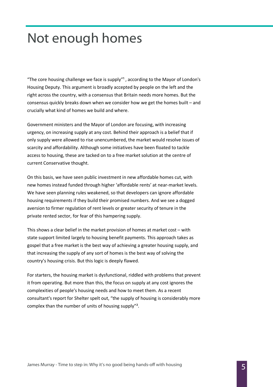### Not enough homes

"The core housing challenge we face is supply" $\overline{a}$ , according to the Mayor of London's Housing Deputy. This argument is broadly accepted by people on the left and the right across the country, with a consensus that Britain needs more homes. But the consensus quickly breaks down when we consider how we get the homes built – and crucially what kind of homes we build and where.

Government ministers and the Mayor of London are focusing, with increasing urgency, on increasing supply at any cost. Behind their approach is a belief that if only supply were allowed to rise unencumbered, the market would resolve issues of scarcity and affordability. Although some initiatives have been floated to tackle access to housing, these are tacked on to a free market solution at the centre of current Conservative thought.

On this basis, we have seen public investment in new affordable homes cut, with new homes instead funded through higher 'affordable rents' at near-market levels. We have seen planning rules weakened, so that developers can ignore affordable housing requirements if they build their promised numbers. And we see a dogged aversion to firmer regulation of rent levels or greater security of tenure in the private rented sector, for fear of this hampering supply.

This shows a clear belief in the market provision of homes at market cost – with state support limited largely to housing benefit payments. This approach takes as gospel that a free market is the best way of achieving a greater housing supply, and that increasing the supply of any sort of homes is the best way of solving the country's housing crisis. But this logic is deeply flawed.

For starters, the housing market is dysfunctional, riddled with problems that prevent it from operating. But more than this, the focus on supply at any cost ignores the complexities of people's housing needs and how to meet them. As a recent consultant's report for Shelter spelt out, "the supply of housing is considerably more complex than the number of units of housing supply"².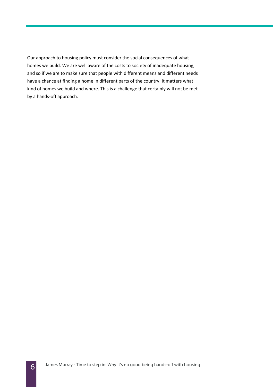Our approach to housing policy must consider the social consequences of what homes we build. We are well aware of the costs to society of inadequate housing, and so if we are to make sure that people with different means and different needs have a chance at finding a home in different parts of the country, it matters what kind of homes we build and where. This is a challenge that certainly will not be met by a hands-off approach.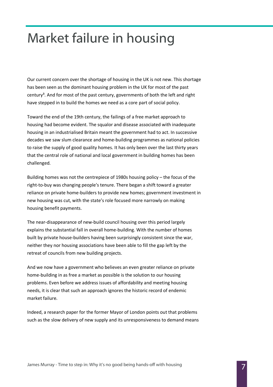# Market failure in housing

Our current concern over the shortage of housing in the UK is not new. This shortage has been seen as the dominant housing problem in the UK for most of the past century<sup>3</sup>. And for most of the past century, governments of both the left and right have stepped in to build the homes we need as a core part of social policy.

Toward the end of the 19th century, the failings of a free market approach to housing had become evident. The squalor and disease associated with inadequate housing in an industrialised Britain meant the government had to act. In successive decades we saw slum clearance and home-building programmes as national policies to raise the supply of good quality homes. It has only been over the last thirty years that the central role of national and local government in building homes has been challenged.

Building homes was not the centrepiece of 1980s housing policy – the focus of the right-to-buy was changing people's tenure. There began a shift toward a greater reliance on private home-builders to provide new homes; government investment in new housing was cut, with the state's role focused more narrowly on making housing benefit payments.

The near-disappearance of new-build council housing over this period largely explains the substantial fall in overall home-building. With the number of homes built by private house-builders having been surprisingly consistent since the war, neither they nor housing associations have been able to fill the gap left by the retreat of councils from new building projects.

And we now have a government who believes an even greater reliance on private home-building in as free a market as possible is the solution to our housing problems. Even before we address issues of affordability and meeting housing needs, it is clear that such an approach ignores the historic record of endemic market failure.

Indeed, a research paper for the former Mayor of London points out that problems such as the slow delivery of new supply and its unresponsiveness to demand means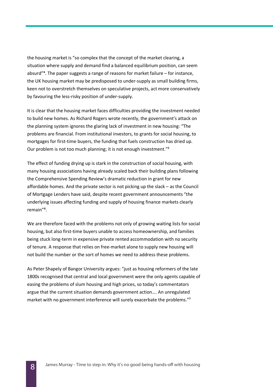the housing market is "so complex that the concept of the market clearing, a situation where supply and demand find a balanced equilibrium position, can seem absurd" $4$ . The paper suggests a range of reasons for market failure  $-$  for instance, the UK housing market may be predisposed to under-supply as small building firms, keen not to overstretch themselves on speculative projects, act more conservatively by favouring the less-risky position of under-supply.

It is clear that the housing market faces difficulties providing the investment needed to build new homes. As Richard Rogers wrote recently, the government's attack on the planning system ignores the glaring lack of investment in new housing: "The problems are financial. From institutional investors, to grants for social housing, to mortgages for first-time buyers, the funding that fuels construction has dried up. Our problem is not too much planning; it is not enough investment."<sup>5</sup>

The effect of funding drying up is stark in the construction of social housing, with many housing associations having already scaled back their building plans following the Comprehensive Spending Review's dramatic reduction in grant for new affordable homes. And the private sector is not picking up the slack – as the Council of Mortgage Lenders have said, despite recent government announcements "the underlying issues affecting funding and supply of housing finance markets clearly remain"⁶.

We are therefore faced with the problems not only of growing waiting lists for social housing, but also first-time buyers unable to access homeownership, and families being stuck long-term in expensive private rented accommodation with no security of tenure. A response that relies on free-market alone to supply new housing will not build the number or the sort of homes we need to address these problems.

As Peter Shapely of Bangor University argues: "just as housing reformers of the late 1800s recognised that central and local government were the only agents capable of easing the problems of slum housing and high prices, so today's commentators argue that the current situation demands government action…. An unregulated market with no government interference will surely exacerbate the problems."<sup>7</sup>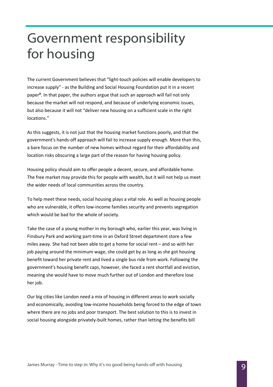# Government responsibility for housing

The current Government believes that "light-touch policies will enable developers to increase supply" - as the Building and Social Housing Foundation put it in a recent paper<sup>8</sup>. In that paper, the authors argue that such an approach will fail not only because the market will not respond, and because of underlying economic issues, but also because it will not "deliver new housing on a sufficient scale in the right locations."

As this suggests, it is not just that the housing market functions poorly, and that the government's hands-off approach will fail to increase supply enough. More than this, a bare focus on the number of new homes without regard for their affordability and location risks obscuring a large part of the reason for having housing policy.

Housing policy should aim to offer people a decent, secure, and affordable home. The free market may provide this for people with wealth, but it will not help us meet the wider needs of local communities across the country.

To help meet these needs, social housing plays a vital role. As well as housing people who are vulnerable, it offers low-income families security and prevents segregation which would be bad for the whole of society.

Take the case of a young mother in my borough who, earlier this year, was living in Finsbury Park and working part-time in an Oxford Street department store a few miles away. She had not been able to get a home for social rent – and so with her job paying around the minimum wage, she could get by as long as she got housing benefit toward her private rent and lived a single bus ride from work. Following the government's housing benefit caps, however, she faced a rent shortfall and eviction, meaning she would have to move much further out of London and therefore lose her job.

Our big cities like London need a mix of housing in different areas to work socially and economically, avoiding low-income households being forced to the edge of town where there are no jobs and poor transport. The best solution to this is to invest in social housing alongside privately-built homes, rather than letting the benefits bill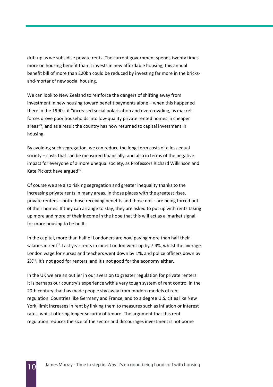drift up as we subsidise private rents. The current government spends twenty times more on housing benefit than it invests in new affordable housing; this annual benefit bill of more than £20bn could be reduced by investing far more in the bricksand-mortar of new social housing.

We can look to New Zealand to reinforce the dangers of shifting away from investment in new housing toward benefit payments alone – when this happened there in the 1990s, it "increased social polarisation and overcrowding, as market forces drove poor households into low-quality private rented homes in cheaper areas"<sup>9</sup>, and as a result the country has now returned to capital investment in housing.

By avoiding such segregation, we can reduce the long-term costs of a less equal society – costs that can be measured financially, and also in terms of the negative impact for everyone of a more unequal society, as Professors Richard Wilkinson and Kate Pickett have argued<sup>10</sup>.

Of course we are also risking segregation and greater inequality thanks to the increasing private rents in many areas. In those places with the greatest rises, private renters – both those receiving benefits and those not – are being forced out of their homes. If they can arrange to stay, they are asked to put up with rents taking up more and more of their income in the hope that this will act as a 'market signal' for more housing to be built.

In the capital, more than half of Londoners are now paying more than half their salaries in rent<sup>11</sup>. Last year rents in inner London went up by 7.4%, whilst the average London wage for nurses and teachers went down by 1%, and police officers down by 2%<sup>12</sup>. It's not good for renters, and it's not good for the economy either.

In the UK we are an outlier in our aversion to greater regulation for private renters. It is perhaps our country's experience with a very tough system of rent control in the 20th century that has made people shy away from modern models of rent regulation. Countries like Germany and France, and to a degree U.S. cities like New York, limit increases in rent by linking them to measures such as inflation or interest rates, whilst offering longer security of tenure. The argument that this rent regulation reduces the size of the sector and discourages investment is not borne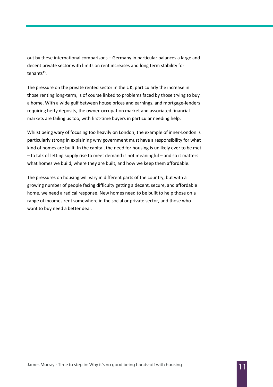out by these international comparisons – Germany in particular balances a large and decent private sector with limits on rent increases and long term stability for tenants<sup>13</sup>.

The pressure on the private rented sector in the UK, particularly the increase in those renting long-term, is of course linked to problems faced by those trying to buy a home. With a wide gulf between house prices and earnings, and mortgage-lenders requiring hefty deposits, the owner-occupation market and associated financial markets are failing us too, with first-time buyers in particular needing help.

Whilst being wary of focusing too heavily on London, the example of inner-London is particularly strong in explaining why government must have a responsibility for what kind of homes are built. In the capital, the need for housing is unlikely ever to be met – to talk of letting supply rise to meet demand is not meaningful – and so it matters what homes we build, where they are built, and how we keep them affordable.

The pressures on housing will vary in different parts of the country, but with a growing number of people facing difficulty getting a decent, secure, and affordable home, we need a radical response. New homes need to be built to help those on a range of incomes rent somewhere in the social or private sector, and those who want to buy need a better deal.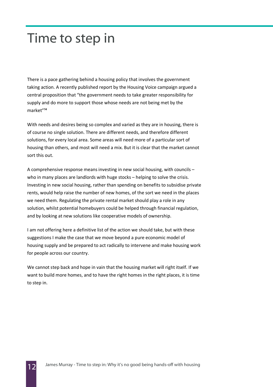#### Time to step in

There is a pace gathering behind a housing policy that involves the government taking action. A recently published report by the Housing Voice campaign argued a central proposition that "the government needs to take greater responsibility for supply and do more to support those whose needs are not being met by the market"<sup>14</sup>

With needs and desires being so complex and varied as they are in housing, there is of course no single solution. There are different needs, and therefore different solutions, for every local area. Some areas will need more of a particular sort of housing than others, and most will need a mix. But it is clear that the market cannot sort this out.

A comprehensive response means investing in new social housing, with councils – who in many places are landlords with huge stocks – helping to solve the crisis. Investing in new social housing, rather than spending on benefits to subsidise private rents, would help raise the number of new homes, of the sort we need in the places we need them. Regulating the private rental market should play a role in any solution, whilst potential homebuyers could be helped through financial regulation, and by looking at new solutions like cooperative models of ownership.

I am not offering here a definitive list of the action we should take, but with these suggestions I make the case that we move beyond a pure economic model of housing supply and be prepared to act radically to intervene and make housing work for people across our country.

We cannot step back and hope in vain that the housing market will right itself. If we want to build more homes, and to have the right homes in the right places, it is time to step in.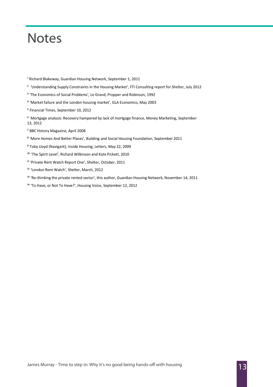#### **Notes**

<sup>1</sup> Richard Blakeway, Guardian Housing Network, September 1, 2011

- <sup>2</sup> 'Understanding Supply Constraints in the Housing Market', FTI Consulting report for Shelter, July 2012
- <sup>3</sup> 'The Economics of Social Problems', Le Grand, Propper and Robinson, 1992
- ⁴ 'Market failure and the London housing market', GLA Economics, May 2003
- ⁵ Financial Times, September 10, 2012
- ⁶ Mortgage analysis: Recovery hampered by lack of mortgage finance, Money Marketing, September 13, 2012
- ⁷ BBC History Magazine, April 2008
- ⁸ 'More Homes And Better Places', Building and Social Housing Foundation, September 2011
- ⁹ Toby Lloyd (Navigant), Inside Housing, Letters, May 22, 2009
- <sup>10</sup> 'The Spirit Level', Richard Wilkinson and Kate Pickett, 2010
- <sup>11</sup> 'Private Rent Watch Report One', Shelter, October, 2011
- <sup>12</sup> 'London Rent Watch', Shelter, March, 2012
- <sup>13</sup> 'Re-thinking the private rented sector', this author, Guardian Housing Network, November 14, 2011
- <sup>14</sup> 'To Have, or Not To Have?', Housing Voice, September 12, 2012